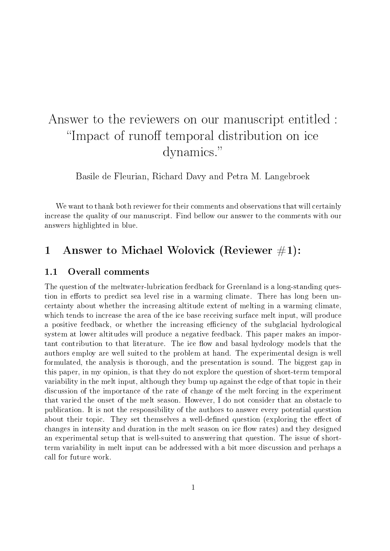# Answer to the reviewers on our manuscript entitled : "Impact of runoff temporal distribution on ice dynamics.

Basile de Fleurian, Richard Davy and Petra M. Langebroek

We want to thank both reviewer for their comments and observations that will certainly increase the quality of our manuscript. Find bellow our answer to the comments with our answers highlighted in blue.

# 1 Answer to Michael Wolovick (Reviewer  $\#1$ ):

## 1.1 Overall comments

The question of the meltwater-lubrication feedback for Greenland is a long-standing question in efforts to predict sea level rise in a warming climate. There has long been uncertainty about whether the increasing altitude extent of melting in a warming climate, which tends to increase the area of the ice base receiving surface melt input, will produce a positive feedback, or whether the increasing efficiency of the subglacial hydrological system at lower altitudes will produce a negative feedback. This paper makes an important contribution to that literature. The ice flow and basal hydrology models that the authors employ are well suited to the problem at hand. The experimental design is well formulated, the analysis is thorough, and the presentation is sound. The biggest gap in this paper, in my opinion, is that they do not explore the question of short-term temporal variability in the melt input, although they bump up against the edge of that topic in their discussion of the importance of the rate of change of the melt forcing in the experiment that varied the onset of the melt season. However, I do not consider that an obstacle to publication. It is not the responsibility of the authors to answer every potential question about their topic. They set themselves a well-defined question (exploring the effect of changes in intensity and duration in the melt season on ice flow rates) and they designed an experimental setup that is well-suited to answering that question. The issue of shortterm variability in melt input can be addressed with a bit more discussion and perhaps a call for future work.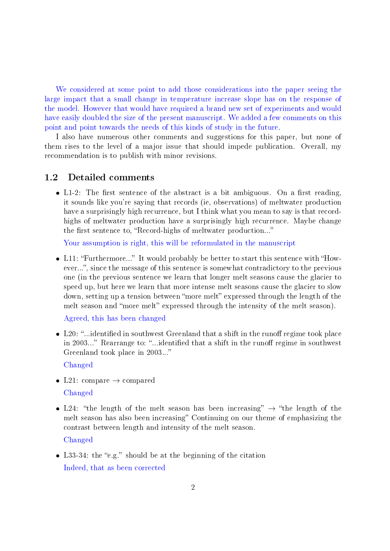We considered at some point to add those considerations into the paper seeing the large impact that a small change in temperature increase slope has on the response of the model. However that would have required a brand new set of experiments and would have easily doubled the size of the present manuscript. We added a few comments on this point and point towards the needs of this kinds of study in the future.

I also have numerous other comments and suggestions for this paper, but none of them rises to the level of a major issue that should impede publication. Overall, my recommendation is to publish with minor revisions.

### 1.2 Detailed comments

• L1-2: The first sentence of the abstract is a bit ambiguous. On a first reading, it sounds like you're saying that records (ie, observations) of meltwater production have a surprisingly high recurrence, but I think what you mean to say is that recordhighs of meltwater production have a surprisingly high recurrence. Maybe change the first sentence to, "Record-highs of meltwater production..."

Your assumption is right, this will be reformulated in the manuscript

• L11: "Furthermore..." It would probably be better to start this sentence with "However...", since the message of this sentence is somewhat contradictory to the previous one (in the previous sentence we learn that longer melt seasons cause the glacier to speed up, but here we learn that more intense melt seasons cause the glacier to slow down, setting up a tension between "more melt" expressed through the length of the melt season and "more melt" expressed through the intensity of the melt season).

Agreed, this has been changed

 $\bullet$  L20: "...identified in southwest Greenland that a shift in the runoff regime took place in 2003..." Rearrange to: "...identified that a shift in the runoff regime in southwest Greenland took place in 2003..."

Changed

- L21: compare  $\rightarrow$  compared Changed
- L24: "the length of the melt season has been increasing"  $\rightarrow$  "the length of the melt season has also been increasing" Continuing on our theme of emphasizing the contrast between length and intensity of the melt season.

Changed

• L33-34: the "e.g." should be at the beginning of the citation Indeed, that as been corrected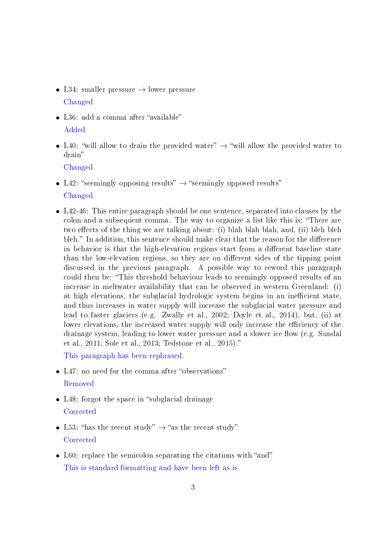- L34: smaller pressure  $\rightarrow$  lower pressure Changed
- L36: add a comma after "available" Added
- L40: "will allow to drain the provided water"  $\rightarrow$  "will allow the provided water to drain

Changed

- L42: "seemingly opposing results"  $\rightarrow$  "seemingly opposed results" Changed
- L42-46: This entire paragraph should be one sentence, separated into clauses by the colon and a subsequent comma. The way to organize a list like this is: There are two effects of the thing we are talking about: (i) blah blah blah, and, (ii) bleh bleh bleh." In addition, this sentence should make clear that the reason for the difference in behavior is that the high-elevation regions start from a different baseline state than the low-elevation regions, so they are on different sides of the tipping point discussed in the previous paragraph. A possible way to reword this paragraph could then be: This threshold behaviour leads to seemingly opposed results of an increase in meltwater availability that can be observed in western Greenland: (i) at high elevations, the subglacial hydrologic system begins in an inefficient state. and thus increases in water supply will increase the subglacial water pressure and lead to faster glaciers (e.g. Zwally et al., 2002; Doyle et al., 2014), but, (ii) at lower elevations, the increased water supply will only increase the efficiency of the drainage system, leading to lower water pressure and a slower ice flow (e.g. Sundal et al., 2011; Sole et al., 2013; Tedstone et al., 2015).

This paragraph has been rephrased.

- L47: no need for the comma after "observations" Removed
- L48: forgot the space in "subglacial drainage **Corrected**
- L53: "has the recent study"  $\rightarrow$  "as the recent study" **Corrected**
- $\bullet$  L60: replace the semicolon separating the citations with "and" This is standard formatting and have been left as is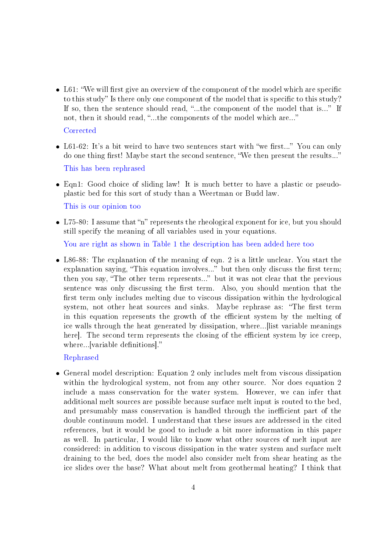- $\bullet$  L61: "We will first give an overview of the component of the model which are specific to this study" Is there only one component of the model that is specific to this study? If so, then the sentence should read, "...the component of the model that is..." If not, then it should read, "...the components of the model which are..." **Corrected**
- L61-62: It's a bit weird to have two sentences start with "we first..." You can only do one thing first! Maybe start the second sentence, "We then present the results..." This has been rephrased
- Eqn1: Good choice of sliding law! It is much better to have a plastic or pseudoplastic bed for this sort of study than a Weertman or Budd law. This is our opinion too
- L75-80: I assume that "n" represents the rheological exponent for ice, but you should still specify the meaning of all variables used in your equations.

You are right as shown in Table 1 the description has been added here too

 L86-88: The explanation of the meaning of eqn. 2 is a little unclear. You start the explanation saying, "This equation involves..." but then only discuss the first term; then you say, "The other term represents..." but it was not clear that the previous sentence was only discussing the first term. Also, you should mention that the first term only includes melting due to viscous dissipation within the hydrological system, not other heat sources and sinks. Maybe rephrase as: "The first term in this equation represents the growth of the efficient system by the melting of ice walls through the heat generated by dissipation, where...[list variable meanings here. The second term represents the closing of the efficient system by ice creep. where...[variable definitions]."

#### Rephrased

 General model description: Equation 2 only includes melt from viscous dissipation within the hydrological system, not from any other source. Nor does equation 2 include a mass conservation for the water system. However, we can infer that additional melt sources are possible because surface melt input is routed to the bed, and presumably mass conservation is handled through the inefficient part of the double continuum model. I understand that these issues are addressed in the cited references, but it would be good to include a bit more information in this paper as well. In particular, I would like to know what other sources of melt input are considered: in addition to viscous dissipation in the water system and surface melt draining to the bed, does the model also consider melt from shear heating as the ice slides over the base? What about melt from geothermal heating? I think that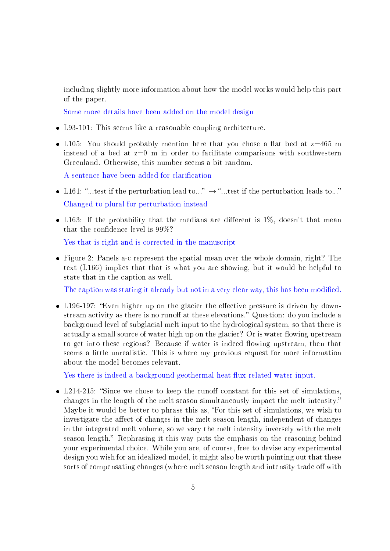including slightly more information about how the model works would help this part of the paper.

Some more details have been added on the model design

- L93-101: This seems like a reasonable coupling architecture.
- L105: You should probably mention here that you chose a flat bed at  $z=465$  m instead of a bed at  $z=0$  m in order to facilitate comparisons with southwestern Greenland. Otherwise, this number seems a bit random.

A sentence have been added for clarification

- L161: "...test if the perturbation lead to..."  $\rightarrow$  "...test if the perturbation leads to..." Changed to plural for perturbation instead
- L163: If the probability that the medians are different is  $1\%$ , doesn't that mean that the confidence level is  $99\%$ ?

Yes that is right and is corrected in the manuscript

 Figure 2: Panels a-c represent the spatial mean over the whole domain, right? The text (L166) implies that that is what you are showing, but it would be helpful to state that in the caption as well.

The caption was stating it already but not in a very clear way, this has been modified.

• L196-197: "Even higher up on the glacier the effective pressure is driven by downstream activity as there is no runoff at these elevations." Question: do you include a background level of subglacial melt input to the hydrological system, so that there is actually a small source of water high up on the glacier? Or is water flowing upstream to get into these regions? Because if water is indeed flowing upstream, then that seems a little unrealistic. This is where my previous request for more information about the model becomes relevant.

Yes there is indeed a background geothermal heat flux related water input.

• L214-215: "Since we chose to keep the runoff constant for this set of simulations, changes in the length of the melt season simultaneously impact the melt intensity. Maybe it would be better to phrase this as, "For this set of simulations, we wish to investigate the affect of changes in the melt season length, independent of changes in the integrated melt volume, so we vary the melt intensity inversely with the melt season length." Rephrasing it this way puts the emphasis on the reasoning behind your experimental choice. While you are, of course, free to devise any experimental design you wish for an idealized model, it might also be worth pointing out that these sorts of compensating changes (where melt season length and intensity trade off with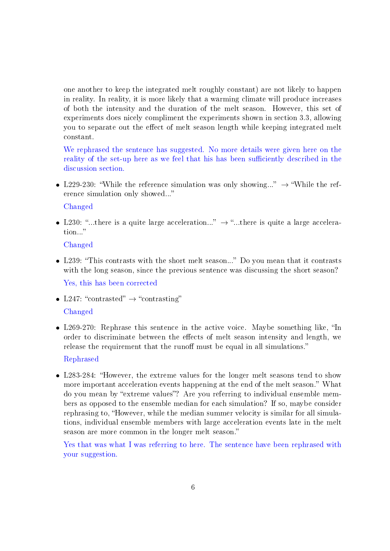one another to keep the integrated melt roughly constant) are not likely to happen in reality. In reality, it is more likely that a warming climate will produce increases of both the intensity and the duration of the melt season. However, this set of experiments does nicely compliment the experiments shown in section 3.3, allowing you to separate out the effect of melt season length while keeping integrated melt constant.

We rephrased the sentence has suggested. No more details were given here on the reality of the set-up here as we feel that his has been sufficiently described in the discussion section.

• L229-230: "While the reference simulation was only showing..."  $\rightarrow$  "While the reference simulation only showed...

Changed

• L230: "...there is a quite large acceleration..."  $\rightarrow$  "...there is quite a large acceleration...

Changed

• L239: "This contrasts with the short melt season..." Do you mean that it contrasts with the long season, since the previous sentence was discussing the short season?

Yes, this has been corrected

- L247: "contrasted"  $\rightarrow$  "contrasting" Changed
- $\bullet$  L269-270: Rephrase this sentence in the active voice. Maybe something like, "In order to discriminate between the effects of melt season intensity and length, we release the requirement that the runoff must be equal in all simulations."

Rephrased

 L283-284: However, the extreme values for the longer melt seasons tend to show more important acceleration events happening at the end of the melt season." What do you mean by "extreme values"? Are you referring to individual ensemble members as opposed to the ensemble median for each simulation? If so, maybe consider rephrasing to, "However, while the median summer velocity is similar for all simulations, individual ensemble members with large acceleration events late in the melt season are more common in the longer melt season.

Yes that was what I was referring to here. The sentence have been rephrased with your suggestion.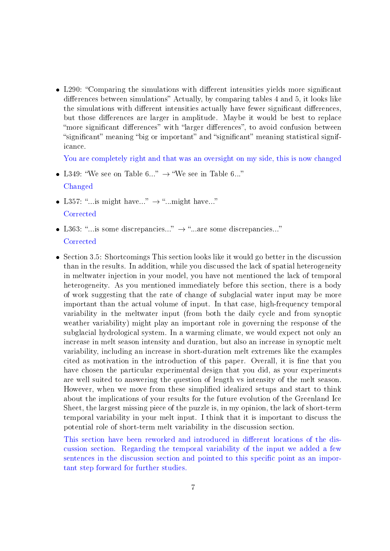• L290: "Comparing the simulations with different intensities yields more significant differences between simulations" Actually, by comparing tables 4 and 5, it looks like the simulations with different intensities actually have fewer significant differences, but those differences are larger in amplitude. Maybe it would be best to replace "more significant differences" with "larger differences", to avoid confusion between "significant" meaning "big or important" and "significant" meaning statistical significance.

You are completely right and that was an oversight on my side, this is now changed

- L349: "We see on Table 6..."  $\rightarrow$  "We see in Table 6..." Changed
- L357: "...is might have..."  $\rightarrow$  "...might have..."
	- **Corrected**
- L363: "...is some discrepancies..."  $\rightarrow$  "...are some discrepancies..." **Corrected**
- Section 3.5: Shortcomings This section looks like it would go better in the discussion than in the results. In addition, while you discussed the lack of spatial heterogeneity in meltwater injection in your model, you have not mentioned the lack of temporal heterogeneity. As you mentioned immediately before this section, there is a body of work suggesting that the rate of change of subglacial water input may be more important than the actual volume of input. In that case, high-frequency temporal variability in the meltwater input (from both the daily cycle and from synoptic weather variability) might play an important role in governing the response of the subglacial hydrological system. In a warming climate, we would expect not only an increase in melt season intensity and duration, but also an increase in synoptic melt variability, including an increase in short-duration melt extremes like the examples cited as motivation in the introduction of this paper. Overall, it is fine that you have chosen the particular experimental design that you did, as your experiments are well suited to answering the question of length vs intensity of the melt season. However, when we move from these simplied idealized setups and start to think about the implications of your results for the future evolution of the Greenland Ice Sheet, the largest missing piece of the puzzle is, in my opinion, the lack of short-term temporal variability in your melt input. I think that it is important to discuss the potential role of short-term melt variability in the discussion section.

This section have been reworked and introduced in different locations of the discussion section. Regarding the temporal variability of the input we added a few sentences in the discussion section and pointed to this specific point as an important step forward for further studies.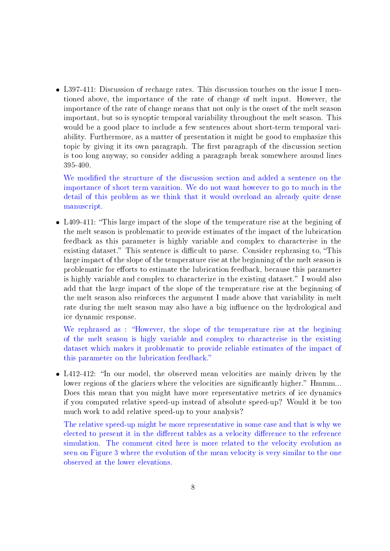L397-411: Discussion of recharge rates. This discussion touches on the issue I mentioned above, the importance of the rate of change of melt input. However, the importance of the rate of change means that not only is the onset of the melt season important, but so is synoptic temporal variability throughout the melt season. This would be a good place to include a few sentences about short-term temporal variability. Furthermore, as a matter of presentation it might be good to emphasize this topic by giving it its own paragraph. The first paragraph of the discussion section is too long anyway, so consider adding a paragraph break somewhere around lines 395-400.

We modified the structure of the discussion section and added a sentence on the importance of short term varaition. We do not want however to go to much in the detail of this problem as we think that it would overload an already quite dense manuscript.

 L409-411: This large impact of the slope of the temperature rise at the begining of the melt season is problematic to provide estimates of the impact of the lubrication feedback as this parameter is highly variable and complex to characterise in the existing dataset." This sentence is difficult to parse. Consider rephrasing to, "This large impact of the slope of the temperature rise at the beginning of the melt season is problematic for efforts to estimate the lubrication feedback, because this parameter is highly variable and complex to characterize in the existing dataset." I would also add that the large impact of the slope of the temperature rise at the beginning of the melt season also reinforces the argument I made above that variability in melt rate during the melt season may also have a big influence on the hydrological and ice dynamic response.

We rephrased as : "However, the slope of the temperature rise at the begining of the melt season is higly variable and complex to characterise in the existing dataset which makes it problematic to provide reliable estimates of the impact of this parameter on the lubrication feedback.

• L412-412: "In our model, the observed mean velocities are mainly driven by the lower regions of the glaciers where the velocities are significantly higher." Hmmm... Does this mean that you might have more representative metrics of ice dynamics if you computed relative speed-up instead of absolute speed-up? Would it be too much work to add relative speed-up to your analysis?

The relative speed-up might be more representative in some case and that is why we elected to present it in the different tables as a velocity difference to the reference simulation. The comment cited here is more related to the velocity evolution as seen on Figure 3 where the evolution of the mean velocity is very similar to the one observed at the lower elevations.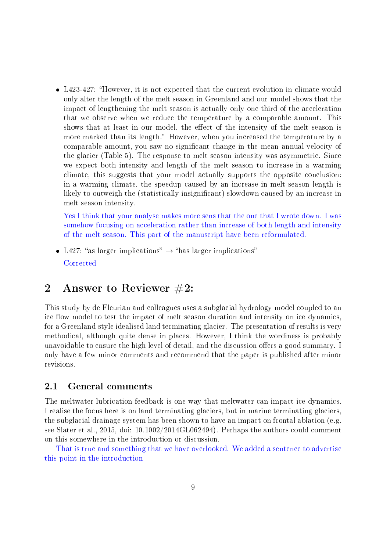L423-427: However, it is not expected that the current evolution in climate would only alter the length of the melt season in Greenland and our model shows that the impact of lengthening the melt season is actually only one third of the acceleration that we observe when we reduce the temperature by a comparable amount. This shows that at least in our model, the effect of the intensity of the melt season is more marked than its length." However, when you increased the temperature by a comparable amount, you saw no signicant change in the mean annual velocity of the glacier (Table 5). The response to melt season intensity was asymmetric. Since we expect both intensity and length of the melt season to increase in a warming climate, this suggests that your model actually supports the opposite conclusion: in a warming climate, the speedup caused by an increase in melt season length is likely to outweigh the (statistically insignificant) slowdown caused by an increase in melt season intensity.

Yes I think that your analyse makes more sens that the one that I wrote down. I was somehow focusing on acceleration rather than increase of both length and intensity of the melt season. This part of the manuscript have been reformulated.

• L427: "as larger implications"  $\rightarrow$  "has larger implications" **Corrected** 

# 2 Answer to Reviewer #2:

This study by de Fleurian and colleagues uses a subglacial hydrology model coupled to an ice flow model to test the impact of melt season duration and intensity on ice dynamics. for a Greenland-style idealised land terminating glacier. The presentation of results is very methodical, although quite dense in places. However, I think the wordiness is probably unavoidable to ensure the high level of detail, and the discussion offers a good summary. I only have a few minor comments and recommend that the paper is published after minor revisions.

# 2.1 General comments

The meltwater lubrication feedback is one way that meltwater can impact ice dynamics. I realise the focus here is on land terminating glaciers, but in marine terminating glaciers, the subglacial drainage system has been shown to have an impact on frontal ablation (e.g. see Slater et al., 2015, doi: 10.1002/2014GL062494). Perhaps the authors could comment on this somewhere in the introduction or discussion.

That is true and something that we have overlooked. We added a sentence to advertise this point in the introduction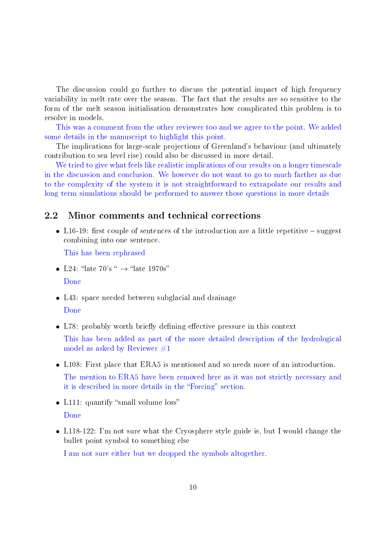The discussion could go further to discuss the potential impact of high frequency variability in melt rate over the season. The fact that the results are so sensitive to the form of the melt season initialisation demonstrates how complicated this problem is to resolve in models.

This was a comment from the other reviewer too and we agree to the point. We added some details in the manuscript to highlight this point.

The implications for large-scale projections of Greenland's behaviour (and ultimately contribution to sea level rise) could also be discussed in more detail.

We tried to give what feels like realistic implications of our results on a longer timescale in the discussion and conclusion. We however do not want to go to much farther as due to the complexity of the system it is not straightforward to extrapolate our results and long term simulations should be performed to answer those questions in more details

### 2.2 Minor comments and technical corrections

• L16-19: first couple of sentences of the introduction are a little repetitive  $-$  suggest combining into one sentence.

This has been rephrased

- L24: "late 70's "  $\rightarrow$  "late 1970s" Done
- L43: space needed between subglacial and drainage Done
- L78: probably worth briefly defining effective pressure in this context

This has been added as part of the more detailed description of the hydrological model as asked by Reviewer  $\#1$ 

L108: First place that ERA5 is mentioned and so needs more of an introduction.

The mention to ERA5 have been removed here as it was not strictly necessary and it is described in more details in the "Forcing" section.

- L111: quantify "small volume loss" Done
- L118-122: I'm not sure what the Cryosphere style guide is, but I would change the bullet point symbol to something else

I am not sure either but we dropped the symbols altogether.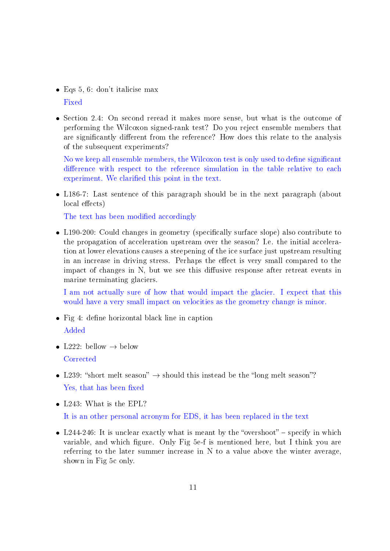- Eqs 5, 6: don't italicise max Fixed
- Section 2.4: On second reread it makes more sense, but what is the outcome of performing the Wilcoxon signed-rank test? Do you reject ensemble members that are significantly different from the reference? How does this relate to the analysis of the subsequent experiments?

No we keep all ensemble members, the Wilcoxon test is only used to define significant difference with respect to the reference simulation in the table relative to each experiment. We clarified this point in the text.

 L186-7: Last sentence of this paragraph should be in the next paragraph (about local effects)

The text has been modified accordingly

• L190-200: Could changes in geometry (specifically surface slope) also contribute to the propagation of acceleration upstream over the season? I.e. the initial acceleration at lower elevations causes a steepening of the ice surface just upstream resulting in an increase in driving stress. Perhaps the effect is very small compared to the impact of changes in  $N$ , but we see this diffusive response after retreat events in marine terminating glaciers.

I am not actually sure of how that would impact the glacier. I expect that this would have a very small impact on velocities as the geometry change is minor.

- $\bullet$  Fig 4: define horizontal black line in caption
	- Added
- L222: bellow  $\rightarrow$  below **Corrected**
- L239: "short melt season"  $\rightarrow$  should this instead be the "long melt season"? Yes, that has been fixed
- L243: What is the EPL?

It is an other personal acronym for EDS, it has been replaced in the text

• L244-246: It is unclear exactly what is meant by the "overshoot" – specify in which variable, and which figure. Only Fig 5e-f is mentioned here, but I think you are referring to the later summer increase in N to a value above the winter average, shown in Fig 5c only.